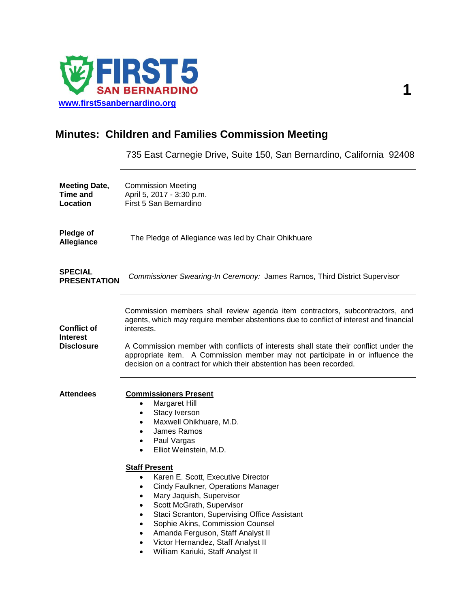

# **Minutes: Children and Families Commission Meeting**

735 East Carnegie Drive, Suite 150, San Bernardino, California 92408

| <b>Meeting Date,</b><br>Time and<br>Location               | <b>Commission Meeting</b><br>April 5, 2017 - 3:30 p.m.<br>First 5 San Bernardino                                                                                                                                                                                                                                                                                                                                                                                                                                                                                                                                                                                                                                      |
|------------------------------------------------------------|-----------------------------------------------------------------------------------------------------------------------------------------------------------------------------------------------------------------------------------------------------------------------------------------------------------------------------------------------------------------------------------------------------------------------------------------------------------------------------------------------------------------------------------------------------------------------------------------------------------------------------------------------------------------------------------------------------------------------|
| Pledge of<br>Allegiance                                    | The Pledge of Allegiance was led by Chair Ohikhuare                                                                                                                                                                                                                                                                                                                                                                                                                                                                                                                                                                                                                                                                   |
| <b>SPECIAL</b><br><b>PRESENTATION</b>                      | Commissioner Swearing-In Ceremony: James Ramos, Third District Supervisor                                                                                                                                                                                                                                                                                                                                                                                                                                                                                                                                                                                                                                             |
| <b>Conflict of</b><br><b>Interest</b><br><b>Disclosure</b> | Commission members shall review agenda item contractors, subcontractors, and<br>agents, which may require member abstentions due to conflict of interest and financial<br>interests.<br>A Commission member with conflicts of interests shall state their conflict under the<br>appropriate item. A Commission member may not participate in or influence the<br>decision on a contract for which their abstention has been recorded.                                                                                                                                                                                                                                                                                 |
| <b>Attendees</b>                                           | <b>Commissioners Present</b><br>Margaret Hill<br>$\bullet$<br>Stacy Iverson<br>$\bullet$<br>Maxwell Ohikhuare, M.D.<br>$\bullet$<br>James Ramos<br>$\bullet$<br>Paul Vargas<br>$\bullet$<br>Elliot Weinstein, M.D.<br>$\bullet$<br><b>Staff Present</b><br>Karen E. Scott, Executive Director<br>$\bullet$<br>Cindy Faulkner, Operations Manager<br>$\bullet$<br>Mary Jaquish, Supervisor<br>$\bullet$<br>Scott McGrath, Supervisor<br>$\bullet$<br>Staci Scranton, Supervising Office Assistant<br>$\bullet$<br>Sophie Akins, Commission Counsel<br>$\bullet$<br>Amanda Ferguson, Staff Analyst II<br>$\bullet$<br>Victor Hernandez, Staff Analyst II<br>$\bullet$<br>William Kariuki, Staff Analyst II<br>$\bullet$ |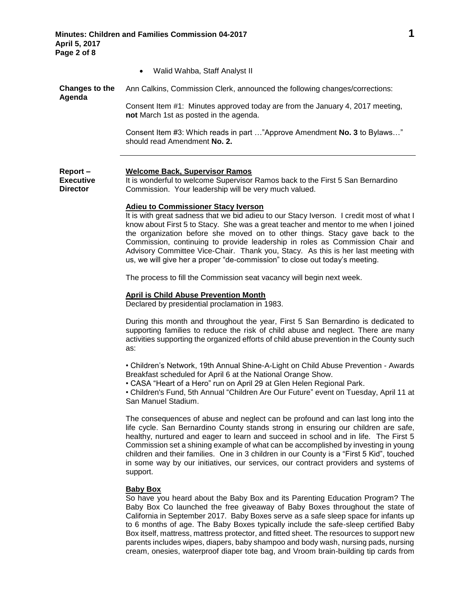Walid Wahba, Staff Analyst II

**not** March 1st as posted in the agenda.

**Changes to the Agenda** Ann Calkins, Commission Clerk, announced the following changes/corrections: Consent Item #1: Minutes approved today are from the January 4, 2017 meeting,

> Consent Item #3: Which reads in part …"Approve Amendment **No. 3** to Bylaws…" should read Amendment **No. 2.**

#### **Report – Welcome Back, Supervisor Ramos**

**Executive Director**

It is wonderful to welcome Supervisor Ramos back to the First 5 San Bernardino Commission. Your leadership will be very much valued.

#### **Adieu to Commissioner Stacy Iverson**

It is with great sadness that we bid adieu to our Stacy Iverson. I credit most of what I know about First 5 to Stacy. She was a great teacher and mentor to me when I joined the organization before she moved on to other things. Stacy gave back to the Commission, continuing to provide leadership in roles as Commission Chair and Advisory Committee Vice-Chair. Thank you, Stacy. As this is her last meeting with us, we will give her a proper "de-commission" to close out today's meeting.

The process to fill the Commission seat vacancy will begin next week.

#### **April is Child Abuse Prevention Month**

Declared by presidential proclamation in 1983.

During this month and throughout the year, First 5 San Bernardino is dedicated to supporting families to reduce the risk of child abuse and neglect. There are many activities supporting the organized efforts of child abuse prevention in the County such as:

• Children's Network, 19th Annual Shine-A-Light on Child Abuse Prevention - Awards Breakfast scheduled for April 6 at the National Orange Show.

• CASA "Heart of a Hero" run on April 29 at Glen Helen Regional Park.

• Children's Fund, 5th Annual "Children Are Our Future" event on Tuesday, April 11 at San Manuel Stadium.

The consequences of abuse and neglect can be profound and can last long into the life cycle. San Bernardino County stands strong in ensuring our children are safe, healthy, nurtured and eager to learn and succeed in school and in life. The First 5 Commission set a shining example of what can be accomplished by investing in young children and their families. One in 3 children in our County is a "First 5 Kid", touched in some way by our initiatives, our services, our contract providers and systems of support.

## **Baby Box**

So have you heard about the Baby Box and its Parenting Education Program? The Baby Box Co launched the free giveaway of Baby Boxes throughout the state of California in September 2017. Baby Boxes serve as a safe sleep space for infants up to 6 months of age. The Baby Boxes typically include the safe-sleep certified Baby Box itself, mattress, mattress protector, and fitted sheet. The resources to support new parents includes wipes, diapers, baby shampoo and body wash, nursing pads, nursing cream, onesies, waterproof diaper tote bag, and Vroom brain-building tip cards from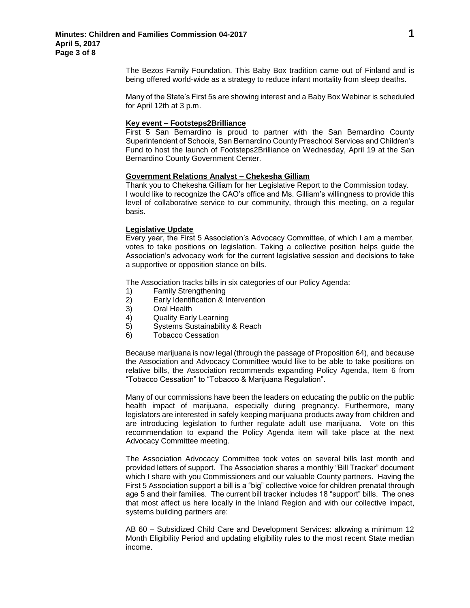The Bezos Family Foundation. This Baby Box tradition came out of Finland and is being offered world-wide as a strategy to reduce infant mortality from sleep deaths.

Many of the State's First 5s are showing interest and a Baby Box Webinar is scheduled for April 12th at 3 p.m.

#### **Key event – Footsteps2Brilliance**

First 5 San Bernardino is proud to partner with the San Bernardino County Superintendent of Schools, San Bernardino County Preschool Services and Children's Fund to host the launch of Footsteps2Brilliance on Wednesday, April 19 at the San Bernardino County Government Center.

#### **Government Relations Analyst – Chekesha Gilliam**

Thank you to Chekesha Gilliam for her Legislative Report to the Commission today. I would like to recognize the CAO's office and Ms. Gilliam's willingness to provide this level of collaborative service to our community, through this meeting, on a regular basis.

#### **Legislative Update**

Every year, the First 5 Association's Advocacy Committee, of which I am a member, votes to take positions on legislation. Taking a collective position helps guide the Association's advocacy work for the current legislative session and decisions to take a supportive or opposition stance on bills.

The Association tracks bills in six categories of our Policy Agenda:

- 1) Family Strengthening
- 2) Early Identification & Intervention
- 3) Oral Health
- 4) Quality Early Learning
- 5) Systems Sustainability & Reach
- 6) Tobacco Cessation

Because marijuana is now legal (through the passage of Proposition 64), and because the Association and Advocacy Committee would like to be able to take positions on relative bills, the Association recommends expanding Policy Agenda, Item 6 from "Tobacco Cessation" to "Tobacco & Marijuana Regulation".

Many of our commissions have been the leaders on educating the public on the public health impact of marijuana, especially during pregnancy. Furthermore, many legislators are interested in safely keeping marijuana products away from children and are introducing legislation to further regulate adult use marijuana. Vote on this recommendation to expand the Policy Agenda item will take place at the next Advocacy Committee meeting.

The Association Advocacy Committee took votes on several bills last month and provided letters of support. The Association shares a monthly "Bill Tracker" document which I share with you Commissioners and our valuable County partners. Having the First 5 Association support a bill is a "big" collective voice for children prenatal through age 5 and their families. The current bill tracker includes 18 "support" bills. The ones that most affect us here locally in the Inland Region and with our collective impact, systems building partners are:

AB 60 – Subsidized Child Care and Development Services: allowing a minimum 12 Month Eligibility Period and updating eligibility rules to the most recent State median income.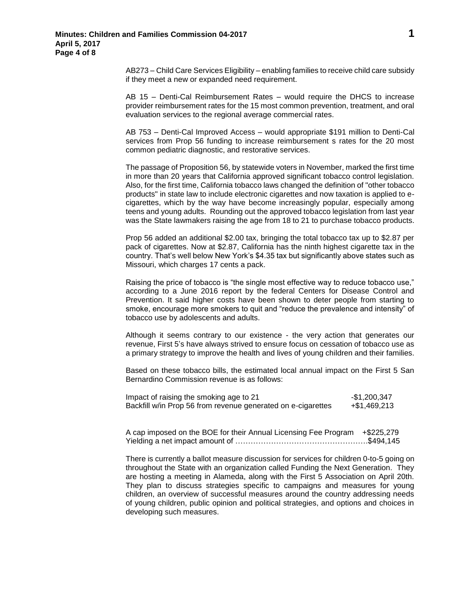AB273 – Child Care Services Eligibility – enabling families to receive child care subsidy if they meet a new or expanded need requirement.

AB 15 – Denti-Cal Reimbursement Rates – would require the DHCS to increase provider reimbursement rates for the 15 most common prevention, treatment, and oral evaluation services to the regional average commercial rates.

AB 753 – Denti-Cal Improved Access – would appropriate \$191 million to Denti-Cal services from Prop 56 funding to increase reimbursement s rates for the 20 most common pediatric diagnostic, and restorative services.

The passage of Proposition 56, by statewide voters in November, marked the first time in more than 20 years that California approved significant tobacco control legislation. Also, for the first time, California tobacco laws changed the definition of "other tobacco products" in state law to include electronic cigarettes and now taxation is applied to ecigarettes, which by the way have become increasingly popular, especially among teens and young adults. Rounding out the approved tobacco legislation from last year was the State lawmakers raising the age from 18 to 21 to purchase tobacco products.

Prop 56 added an additional \$2.00 tax, bringing the total tobacco tax up to \$2.87 per pack of cigarettes. Now at \$2.87, California has the ninth highest cigarette tax in the country. That's well below New York's \$4.35 tax but significantly above states such as Missouri, which charges 17 cents a pack.

Raising the price of tobacco is "the single most effective way to reduce tobacco use," according to a June 2016 report by the federal Centers for Disease Control and Prevention. It said higher costs have been shown to deter people from starting to smoke, encourage more smokers to quit and "reduce the prevalence and intensity" of tobacco use by adolescents and adults.

Although it seems contrary to our existence - the very action that generates our revenue, First 5's have always strived to ensure focus on cessation of tobacco use as a primary strategy to improve the health and lives of young children and their families.

Based on these tobacco bills, the estimated local annual impact on the First 5 San Bernardino Commission revenue is as follows:

| Impact of raising the smoking age to 21                      | -\$1,200,347 |
|--------------------------------------------------------------|--------------|
| Backfill w/in Prop 56 from revenue generated on e-cigarettes | +\$1,469,213 |

A cap imposed on the BOE for their Annual Licensing Fee Program +\$225,279 Yielding a net impact amount of …………………………………………….\$494,145

There is currently a ballot measure discussion for services for children 0-to-5 going on throughout the State with an organization called Funding the Next Generation. They are hosting a meeting in Alameda, along with the First 5 Association on April 20th. They plan to discuss strategies specific to campaigns and measures for young children, an overview of successful measures around the country addressing needs of young children, public opinion and political strategies, and options and choices in developing such measures.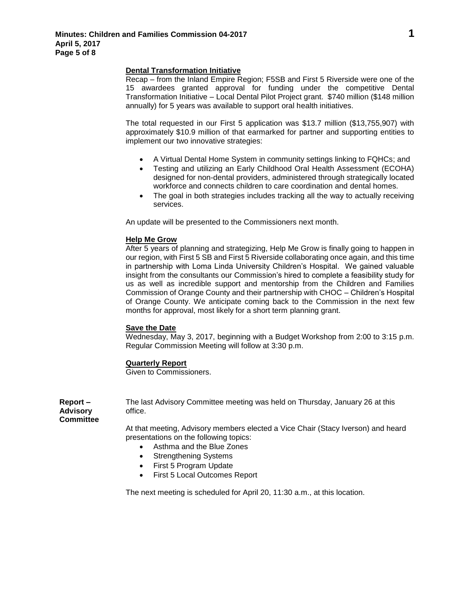#### **Dental Transformation Initiative**

Recap – from the Inland Empire Region; F5SB and First 5 Riverside were one of the 15 awardees granted approval for funding under the competitive Dental Transformation Initiative – Local Dental Pilot Project grant. \$740 million (\$148 million annually) for 5 years was available to support oral health initiatives.

The total requested in our First 5 application was \$13.7 million (\$13,755,907) with approximately \$10.9 million of that earmarked for partner and supporting entities to implement our two innovative strategies:

- A Virtual Dental Home System in community settings linking to FQHCs; and
- Testing and utilizing an Early Childhood Oral Health Assessment (ECOHA) designed for non-dental providers, administered through strategically located workforce and connects children to care coordination and dental homes.
- The goal in both strategies includes tracking all the way to actually receiving services.

An update will be presented to the Commissioners next month.

#### **Help Me Grow**

After 5 years of planning and strategizing, Help Me Grow is finally going to happen in our region, with First 5 SB and First 5 Riverside collaborating once again, and this time in partnership with Loma Linda University Children's Hospital. We gained valuable insight from the consultants our Commission's hired to complete a feasibility study for us as well as incredible support and mentorship from the Children and Families Commission of Orange County and their partnership with CHOC – Children's Hospital of Orange County. We anticipate coming back to the Commission in the next few months for approval, most likely for a short term planning grant.

#### **Save the Date**

Wednesday, May 3, 2017, beginning with a Budget Workshop from 2:00 to 3:15 p.m. Regular Commission Meeting will follow at 3:30 p.m.

## **Quarterly Report**

Given to Commissioners.

The last Advisory Committee meeting was held on Thursday, January 26 at this office.

**Report – Advisory Committee**

> At that meeting, Advisory members elected a Vice Chair (Stacy Iverson) and heard presentations on the following topics:

- Asthma and the Blue Zones
- Strengthening Systems
- First 5 Program Update
- First 5 Local Outcomes Report

The next meeting is scheduled for April 20, 11:30 a.m., at this location.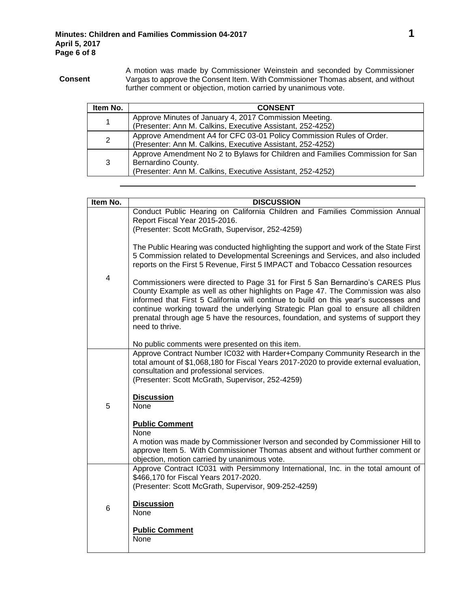**Consent** A motion was made by Commissioner Weinstein and seconded by Commissioner Vargas to approve the Consent Item. With Commissioner Thomas absent, and without further comment or objection, motion carried by unanimous vote.

| Item No. | <b>CONSENT</b>                                                                                                                                                    |
|----------|-------------------------------------------------------------------------------------------------------------------------------------------------------------------|
| 1        | Approve Minutes of January 4, 2017 Commission Meeting.<br>(Presenter: Ann M. Calkins, Executive Assistant, 252-4252)                                              |
| 2        | Approve Amendment A4 for CFC 03-01 Policy Commission Rules of Order.<br>(Presenter: Ann M. Calkins, Executive Assistant, 252-4252)                                |
| 3        | Approve Amendment No 2 to Bylaws for Children and Families Commission for San<br>Bernardino County.<br>(Presenter: Ann M. Calkins, Executive Assistant, 252-4252) |

| Item No. | <b>DISCUSSION</b>                                                                                                                                                                                                                                                                                                                                                                                                                                      |
|----------|--------------------------------------------------------------------------------------------------------------------------------------------------------------------------------------------------------------------------------------------------------------------------------------------------------------------------------------------------------------------------------------------------------------------------------------------------------|
| 4        | Conduct Public Hearing on California Children and Families Commission Annual<br>Report Fiscal Year 2015-2016.                                                                                                                                                                                                                                                                                                                                          |
|          | (Presenter: Scott McGrath, Supervisor, 252-4259)                                                                                                                                                                                                                                                                                                                                                                                                       |
|          | The Public Hearing was conducted highlighting the support and work of the State First<br>5 Commission related to Developmental Screenings and Services, and also included<br>reports on the First 5 Revenue, First 5 IMPACT and Tobacco Cessation resources                                                                                                                                                                                            |
|          | Commissioners were directed to Page 31 for First 5 San Bernardino's CARES Plus<br>County Example as well as other highlights on Page 47. The Commission was also<br>informed that First 5 California will continue to build on this year's successes and<br>continue working toward the underlying Strategic Plan goal to ensure all children<br>prenatal through age 5 have the resources, foundation, and systems of support they<br>need to thrive. |
|          | No public comments were presented on this item.                                                                                                                                                                                                                                                                                                                                                                                                        |
| 5        | Approve Contract Number IC032 with Harder+Company Community Research in the<br>total amount of \$1,068,180 for Fiscal Years 2017-2020 to provide external evaluation,<br>consultation and professional services.<br>(Presenter: Scott McGrath, Supervisor, 252-4259)                                                                                                                                                                                   |
|          | <b>Discussion</b><br>None                                                                                                                                                                                                                                                                                                                                                                                                                              |
|          | <b>Public Comment</b>                                                                                                                                                                                                                                                                                                                                                                                                                                  |
|          | None                                                                                                                                                                                                                                                                                                                                                                                                                                                   |
|          | A motion was made by Commissioner Iverson and seconded by Commissioner Hill to<br>approve Item 5. With Commissioner Thomas absent and without further comment or<br>objection, motion carried by unanimous vote.                                                                                                                                                                                                                                       |
| 6        | Approve Contract IC031 with Persimmony International, Inc. in the total amount of<br>\$466,170 for Fiscal Years 2017-2020.                                                                                                                                                                                                                                                                                                                             |
|          | (Presenter: Scott McGrath, Supervisor, 909-252-4259)                                                                                                                                                                                                                                                                                                                                                                                                   |
|          | <b>Discussion</b><br>None                                                                                                                                                                                                                                                                                                                                                                                                                              |
|          | <b>Public Comment</b><br>None                                                                                                                                                                                                                                                                                                                                                                                                                          |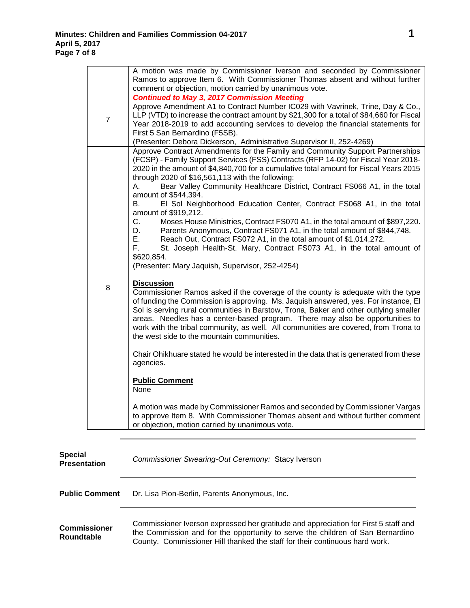|                | A motion was made by Commissioner Iverson and seconded by Commissioner<br>Ramos to approve Item 6. With Commissioner Thomas absent and without further                                                                                                                                                                                                                                                                                                                                                                                                                                                                                                                                                                                                                                                                                                                    |
|----------------|---------------------------------------------------------------------------------------------------------------------------------------------------------------------------------------------------------------------------------------------------------------------------------------------------------------------------------------------------------------------------------------------------------------------------------------------------------------------------------------------------------------------------------------------------------------------------------------------------------------------------------------------------------------------------------------------------------------------------------------------------------------------------------------------------------------------------------------------------------------------------|
|                | comment or objection, motion carried by unanimous vote.                                                                                                                                                                                                                                                                                                                                                                                                                                                                                                                                                                                                                                                                                                                                                                                                                   |
| $\overline{7}$ | <b>Continued to May 3, 2017 Commission Meeting</b><br>Approve Amendment A1 to Contract Number IC029 with Vavrinek, Trine, Day & Co.,<br>LLP (VTD) to increase the contract amount by \$21,300 for a total of \$84,660 for Fiscal<br>Year 2018-2019 to add accounting services to develop the financial statements for<br>First 5 San Bernardino (F5SB).                                                                                                                                                                                                                                                                                                                                                                                                                                                                                                                   |
|                | (Presenter: Debora Dickerson, Administrative Supervisor II, 252-4269)                                                                                                                                                                                                                                                                                                                                                                                                                                                                                                                                                                                                                                                                                                                                                                                                     |
|                | Approve Contract Amendments for the Family and Community Support Partnerships<br>(FCSP) - Family Support Services (FSS) Contracts (RFP 14-02) for Fiscal Year 2018-<br>2020 in the amount of \$4,840,700 for a cumulative total amount for Fiscal Years 2015<br>through 2020 of \$16,561,113 with the following:<br>Bear Valley Community Healthcare District, Contract FS066 A1, in the total<br>А.<br>amount of \$544,394.<br>El Sol Neighborhood Education Center, Contract FS068 A1, in the total<br>В.<br>amount of \$919,212.<br>$C_{1}$<br>Moses House Ministries, Contract FS070 A1, in the total amount of \$897,220.<br>D.<br>Parents Anonymous, Contract FS071 A1, in the total amount of \$844,748.<br>Е.<br>Reach Out, Contract FS072 A1, in the total amount of \$1,014,272.<br>F.<br>St. Joseph Health-St. Mary, Contract FS073 A1, in the total amount of |
|                | \$620,854.<br>(Presenter: Mary Jaquish, Supervisor, 252-4254)                                                                                                                                                                                                                                                                                                                                                                                                                                                                                                                                                                                                                                                                                                                                                                                                             |
| 8              | <b>Discussion</b><br>Commissioner Ramos asked if the coverage of the county is adequate with the type<br>of funding the Commission is approving. Ms. Jaquish answered, yes. For instance, El<br>Sol is serving rural communities in Barstow, Trona, Baker and other outlying smaller<br>areas. Needles has a center-based program. There may also be opportunities to<br>work with the tribal community, as well. All communities are covered, from Trona to<br>the west side to the mountain communities.                                                                                                                                                                                                                                                                                                                                                                |
|                | Chair Ohikhuare stated he would be interested in the data that is generated from these<br>agencies.                                                                                                                                                                                                                                                                                                                                                                                                                                                                                                                                                                                                                                                                                                                                                                       |
|                | <b>Public Comment</b><br>None                                                                                                                                                                                                                                                                                                                                                                                                                                                                                                                                                                                                                                                                                                                                                                                                                                             |
|                | A motion was made by Commissioner Ramos and seconded by Commissioner Vargas<br>to approve Item 8. With Commissioner Thomas absent and without further comment<br>or objection, motion carried by unanimous vote.                                                                                                                                                                                                                                                                                                                                                                                                                                                                                                                                                                                                                                                          |
|                |                                                                                                                                                                                                                                                                                                                                                                                                                                                                                                                                                                                                                                                                                                                                                                                                                                                                           |

| <b>Special</b><br><b>Presentation</b> | Commissioner Swearing-Out Ceremony: Stacy Iverson                                                                                                                                                                                                    |
|---------------------------------------|------------------------------------------------------------------------------------------------------------------------------------------------------------------------------------------------------------------------------------------------------|
| <b>Public Comment</b>                 | Dr. Lisa Pion-Berlin, Parents Anonymous, Inc.                                                                                                                                                                                                        |
| <b>Commissioner</b><br>Roundtable     | Commissioner Iverson expressed her gratitude and appreciation for First 5 staff and<br>the Commission and for the opportunity to serve the children of San Bernardino<br>County. Commissioner Hill thanked the staff for their continuous hard work. |